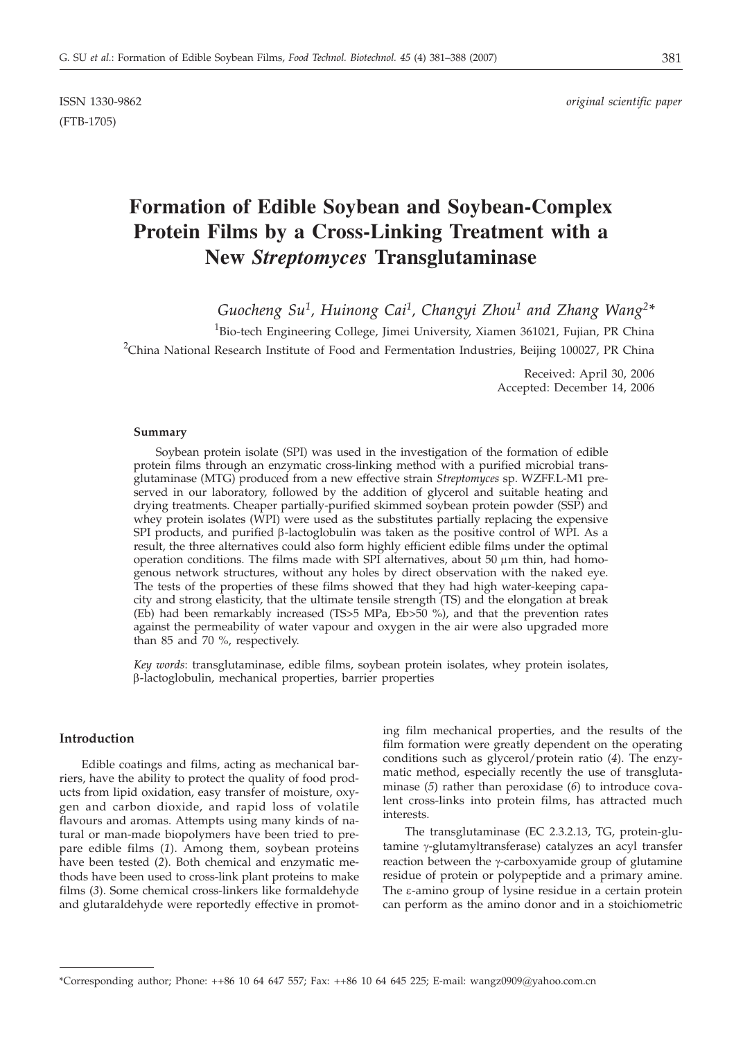(FTB-1705)

# **Formation of Edible Soybean and Soybean-Complex Protein Films by a Cross-Linking Treatment with a New** *Streptomyces* **Transglutaminase**

*Guocheng Su1, Huinong Cai1, Changyi Zhou1 and Zhang Wang2\**

<sup>1</sup>Bio-tech Engineering College, Jimei University, Xiamen 361021, Fujian, PR China <sup>2</sup>China National Research Institute of Food and Fermentation Industries, Beijing 100027, PR China

> Received: April 30, 2006 Accepted: December 14, 2006

#### **Summary**

Soybean protein isolate (SPI) was used in the investigation of the formation of edible protein films through an enzymatic cross-linking method with a purified microbial transglutaminase (MTG) produced from a new effective strain *Streptomyces* sp. WZFF.L-M1 preserved in our laboratory, followed by the addition of glycerol and suitable heating and drying treatments. Cheaper partially-purified skimmed soybean protein powder (SSP) and whey protein isolates (WPI) were used as the substitutes partially replacing the expensive SPI products, and purified  $\beta$ -lactoglobulin was taken as the positive control of WPI. As a result, the three alternatives could also form highly efficient edible films under the optimal operation conditions. The films made with SPI alternatives, about 50  $\mu$ m thin, had homogenous network structures, without any holes by direct observation with the naked eye. The tests of the properties of these films showed that they had high water-keeping capacity and strong elasticity, that the ultimate tensile strength (TS) and the elongation at break (Eb) had been remarkably increased (TS>5 MPa, Eb>50 %), and that the prevention rates against the permeability of water vapour and oxygen in the air were also upgraded more than 85 and 70 %, respectively.

*Key words*: transglutaminase, edible films, soybean protein isolates, whey protein isolates, b-lactoglobulin, mechanical properties, barrier properties

## **Introduction**

Edible coatings and films, acting as mechanical barriers, have the ability to protect the quality of food products from lipid oxidation, easy transfer of moisture, oxygen and carbon dioxide, and rapid loss of volatile flavours and aromas. Attempts using many kinds of natural or man-made biopolymers have been tried to prepare edible films (*1*). Among them, soybean proteins have been tested (*2*). Both chemical and enzymatic methods have been used to cross-link plant proteins to make films (*3*). Some chemical cross-linkers like formaldehyde and glutaraldehyde were reportedly effective in promoting film mechanical properties, and the results of the film formation were greatly dependent on the operating conditions such as glycerol/protein ratio (*4*). The enzymatic method, especially recently the use of transglutaminase (*5*) rather than peroxidase (*6*) to introduce covalent cross-links into protein films, has attracted much interests.

The transglutaminase (EC 2.3.2.13, TG, protein-glutamine γ-glutamyltransferase) catalyzes an acyl transfer reaction between the  $\gamma$ -carboxyamide group of glutamine residue of protein or polypeptide and a primary amine. The  $\varepsilon$ -amino group of lysine residue in a certain protein can perform as the amino donor and in a stoichiometric

<sup>\*</sup>Corresponding author; Phone: ++86 10 64 647 557; Fax: ++86 10 64 645 225; E-mail: wangz0909@yahoo.com.cn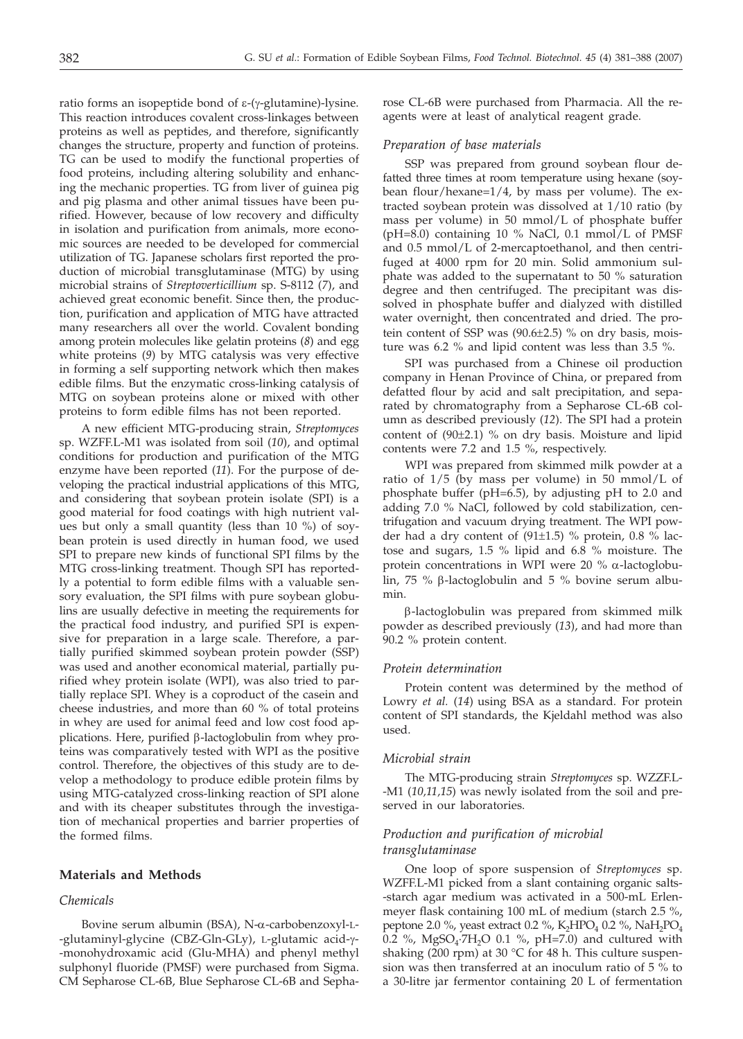ratio forms an isopeptide bond of  $\varepsilon$ -( $\gamma$ -glutamine)-lysine. This reaction introduces covalent cross-linkages between proteins as well as peptides, and therefore, significantly changes the structure, property and function of proteins. TG can be used to modify the functional properties of food proteins, including altering solubility and enhancing the mechanic properties. TG from liver of guinea pig and pig plasma and other animal tissues have been purified. However, because of low recovery and difficulty in isolation and purification from animals, more economic sources are needed to be developed for commercial utilization of TG. Japanese scholars first reported the production of microbial transglutaminase (MTG) by using microbial strains of *Streptoverticillium* sp. S-8112 (*7*), and achieved great economic benefit. Since then, the production, purification and application of MTG have attracted many researchers all over the world. Covalent bonding among protein molecules like gelatin proteins (*8*) and egg white proteins (*9*) by MTG catalysis was very effective in forming a self supporting network which then makes edible films. But the enzymatic cross-linking catalysis of MTG on soybean proteins alone or mixed with other proteins to form edible films has not been reported.

A new efficient MTG-producing strain, *Streptomyces* sp. WZFF.L-M1 was isolated from soil (*10*), and optimal conditions for production and purification of the MTG enzyme have been reported (*11*). For the purpose of developing the practical industrial applications of this MTG, and considering that soybean protein isolate (SPI) is a good material for food coatings with high nutrient values but only a small quantity (less than 10 %) of soybean protein is used directly in human food, we used SPI to prepare new kinds of functional SPI films by the MTG cross-linking treatment. Though SPI has reportedly a potential to form edible films with a valuable sensory evaluation, the SPI films with pure soybean globulins are usually defective in meeting the requirements for the practical food industry, and purified SPI is expensive for preparation in a large scale. Therefore, a partially purified skimmed soybean protein powder (SSP) was used and another economical material, partially purified whey protein isolate (WPI), was also tried to partially replace SPI. Whey is a coproduct of the casein and cheese industries, and more than 60 % of total proteins in whey are used for animal feed and low cost food applications. Here, purified  $\beta$ -lactoglobulin from whey proteins was comparatively tested with WPI as the positive control. Therefore, the objectives of this study are to develop a methodology to produce edible protein films by using MTG-catalyzed cross-linking reaction of SPI alone and with its cheaper substitutes through the investigation of mechanical properties and barrier properties of the formed films.

## **Materials and Methods**

## *Chemicals*

Bovine serum albumin (BSA), N-a-carbobenzoxyl-L- -glutaminyl-glycine (CBZ-Gln-GLy), L-glutamic acid-γ--monohydroxamic acid (Glu-MHA) and phenyl methyl sulphonyl fluoride (PMSF) were purchased from Sigma. CM Sepharose CL-6B, Blue Sepharose CL-6B and Sepharose CL-6B were purchased from Pharmacia. All the reagents were at least of analytical reagent grade.

## *Preparation of base materials*

SSP was prepared from ground soybean flour defatted three times at room temperature using hexane (soybean flour/hexane=1/4, by mass per volume). The extracted soybean protein was dissolved at 1/10 ratio (by mass per volume) in 50 mmol/L of phosphate buffer (pH=8.0) containing 10 % NaCl, 0.1 mmol/L of PMSF and 0.5 mmol/L of 2-mercaptoethanol, and then centrifuged at 4000 rpm for 20 min. Solid ammonium sulphate was added to the supernatant to 50 % saturation degree and then centrifuged. The precipitant was dissolved in phosphate buffer and dialyzed with distilled water overnight, then concentrated and dried. The protein content of SSP was (90.6±2.5) % on dry basis, moisture was 6.2 % and lipid content was less than 3.5 %.

SPI was purchased from a Chinese oil production company in Henan Province of China, or prepared from defatted flour by acid and salt precipitation, and separated by chromatography from a Sepharose CL-6B column as described previously (*12*). The SPI had a protein content of (90±2.1) % on dry basis. Moisture and lipid contents were 7.2 and 1.5 %, respectively.

WPI was prepared from skimmed milk powder at a ratio of  $1/5$  (by mass per volume) in 50 mmol/L of phosphate buffer (pH=6.5), by adjusting pH to 2.0 and adding 7.0 % NaCl, followed by cold stabilization, centrifugation and vacuum drying treatment. The WPI powder had a dry content of (91±1.5) % protein, 0.8 % lactose and sugars, 1.5 % lipid and 6.8 % moisture. The protein concentrations in WPI were  $20\%$   $\alpha$ -lactoglobulin, 75 %  $\beta$ -lactoglobulin and 5 % bovine serum albumin.

b-lactoglobulin was prepared from skimmed milk powder as described previously (*13*), and had more than 90.2 % protein content.

## *Protein determination*

Protein content was determined by the method of Lowry *et al.* (*14*) using BSA as a standard. For protein content of SPI standards, the Kjeldahl method was also used.

#### *Microbial strain*

The MTG-producing strain *Streptomyces* sp. WZZF.L- -M1 (*10,11,15*) was newly isolated from the soil and preserved in our laboratories.

# *Production and purification of microbial transglutaminase*

One loop of spore suspension of *Streptomyces* sp. WZFF.L-M1 picked from a slant containing organic salts- -starch agar medium was activated in a 500-mL Erlenmeyer flask containing 100 mL of medium (starch 2.5 %, peptone 2.0 %, yeast extract 0.2 %,  $K_2HPO_4$  0.2 %,  $NaH_2PO_4$ 0.2 %,  $MgSO_4$ :7H<sub>2</sub>O 0.1 %, pH=7.0) and cultured with shaking (200 rpm) at 30 °C for 48 h. This culture suspension was then transferred at an inoculum ratio of 5 % to a 30-litre jar fermentor containing 20 L of fermentation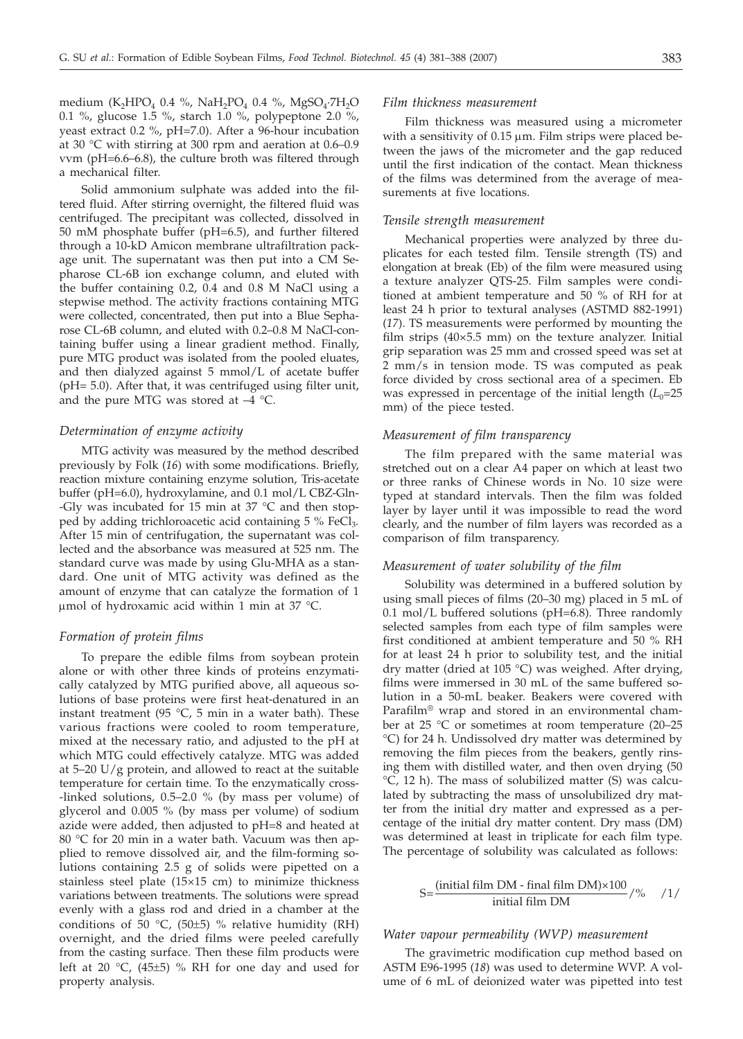medium (K<sub>2</sub>HPO<sub>4</sub> 0.4 %, NaH<sub>2</sub>PO<sub>4</sub> 0.4 %, MgSO<sub>4</sub>·7H<sub>2</sub>O 0.1 %, glucose 1.5 %, starch 1.0 %, polypeptone 2.0 %, yeast extract 0.2 %, pH=7.0). After a 96-hour incubation at 30 °C with stirring at 300 rpm and aeration at 0.6–0.9 vvm (pH=6.6–6.8), the culture broth was filtered through a mechanical filter.

Solid ammonium sulphate was added into the filtered fluid. After stirring overnight, the filtered fluid was centrifuged. The precipitant was collected, dissolved in 50 mM phosphate buffer (pH=6.5), and further filtered through a 10-kD Amicon membrane ultrafiltration package unit. The supernatant was then put into a CM Sepharose CL-6B ion exchange column, and eluted with the buffer containing 0.2, 0.4 and 0.8 M NaCl using a stepwise method. The activity fractions containing MTG were collected, concentrated, then put into a Blue Sepharose CL-6B column, and eluted with 0.2–0.8 M NaCl-containing buffer using a linear gradient method. Finally, pure MTG product was isolated from the pooled eluates, and then dialyzed against 5 mmol/L of acetate buffer (pH= 5.0). After that, it was centrifuged using filter unit, and the pure MTG was stored at  $-4$  °C.

#### *Determination of enzyme activity*

MTG activity was measured by the method described previously by Folk (*16*) with some modifications. Briefly, reaction mixture containing enzyme solution, Tris-acetate buffer (pH=6.0), hydroxylamine, and 0.1 mol/L CBZ-Gln- -Gly was incubated for 15 min at 37 °C and then stopped by adding trichloroacetic acid containing 5 % FeCl<sub>3</sub>. After 15 min of centrifugation, the supernatant was collected and the absorbance was measured at 525 nm. The standard curve was made by using Glu-MHA as a standard. One unit of MTG activity was defined as the amount of enzyme that can catalyze the formation of 1  $\mu$ mol of hydroxamic acid within 1 min at 37 °C.

#### *Formation of protein films*

To prepare the edible films from soybean protein alone or with other three kinds of proteins enzymatically catalyzed by MTG purified above, all aqueous solutions of base proteins were first heat-denatured in an instant treatment (95  $^{\circ}$ C, 5 min in a water bath). These various fractions were cooled to room temperature, mixed at the necessary ratio, and adjusted to the pH at which MTG could effectively catalyze. MTG was added at  $5-20$  U/g protein, and allowed to react at the suitable temperature for certain time. To the enzymatically cross- -linked solutions, 0.5–2.0 % (by mass per volume) of glycerol and 0.005 % (by mass per volume) of sodium azide were added, then adjusted to pH=8 and heated at 80 °C for 20 min in a water bath. Vacuum was then applied to remove dissolved air, and the film-forming solutions containing 2.5 g of solids were pipetted on a stainless steel plate (15×15 cm) to minimize thickness variations between treatments. The solutions were spread evenly with a glass rod and dried in a chamber at the conditions of 50  $°C$ , (50±5) % relative humidity (RH) overnight, and the dried films were peeled carefully from the casting surface. Then these film products were left at 20 °C, (45±5) % RH for one day and used for property analysis.

#### *Film thickness measurement*

Film thickness was measured using a micrometer with a sensitivity of  $0.15 \mu m$ . Film strips were placed between the jaws of the micrometer and the gap reduced until the first indication of the contact. Mean thickness of the films was determined from the average of measurements at five locations.

#### *Tensile strength measurement*

Mechanical properties were analyzed by three duplicates for each tested film. Tensile strength (TS) and elongation at break (Eb) of the film were measured using a texture analyzer QTS-25. Film samples were conditioned at ambient temperature and 50 % of RH for at least 24 h prior to textural analyses (ASTMD 882-1991) (*17*). TS measurements were performed by mounting the film strips (40×5.5 mm) on the texture analyzer. Initial grip separation was 25 mm and crossed speed was set at 2 mm/s in tension mode. TS was computed as peak force divided by cross sectional area of a specimen. Eb was expressed in percentage of the initial length  $(L_0=25)$ mm) of the piece tested.

## *Measurement of film transparency*

The film prepared with the same material was stretched out on a clear A4 paper on which at least two or three ranks of Chinese words in No. 10 size were typed at standard intervals. Then the film was folded layer by layer until it was impossible to read the word clearly, and the number of film layers was recorded as a comparison of film transparency.

## *Measurement of water solubility of the film*

Solubility was determined in a buffered solution by using small pieces of films (20–30 mg) placed in 5 mL of 0.1 mol/L buffered solutions ( $pH=6.8$ ). Three randomly selected samples from each type of film samples were first conditioned at ambient temperature and 50 % RH for at least 24 h prior to solubility test, and the initial dry matter (dried at 105 °C) was weighed. After drying, films were immersed in 30 mL of the same buffered solution in a 50-mL beaker. Beakers were covered with Parafilm® wrap and stored in an environmental chamber at 25 °C or sometimes at room temperature (20–25 °C) for 24 h. Undissolved dry matter was determined by removing the film pieces from the beakers, gently rinsing them with distilled water, and then oven drying (50 °C, 12 h). The mass of solubilized matter (S) was calculated by subtracting the mass of unsolubilized dry matter from the initial dry matter and expressed as a percentage of the initial dry matter content. Dry mass (DM) was determined at least in triplicate for each film type. The percentage of solubility was calculated as follows:

$$
S = \frac{\text{(initial film DM - final film DM)} \times 100}{\text{initial film DM}} / \% \quad /1 /
$$

# *Water vapour permeability (WVP) measurement*

The gravimetric modification cup method based on ASTM E96-1995 (*18*) was used to determine WVP. A volume of 6 mL of deionized water was pipetted into test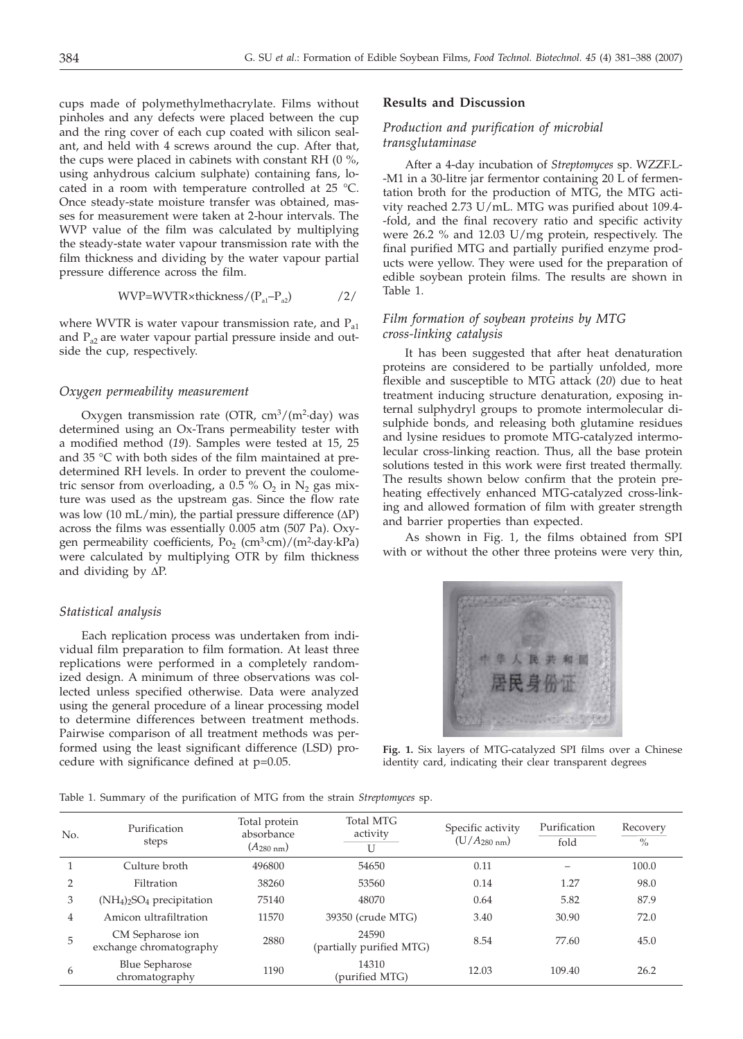cups made of polymethylmethacrylate. Films without pinholes and any defects were placed between the cup and the ring cover of each cup coated with silicon sealant, and held with 4 screws around the cup. After that, the cups were placed in cabinets with constant RH (0 %, using anhydrous calcium sulphate) containing fans, located in a room with temperature controlled at 25 °C. Once steady-state moisture transfer was obtained, masses for measurement were taken at 2-hour intervals. The WVP value of the film was calculated by multiplying the steady-state water vapour transmission rate with the film thickness and dividing by the water vapour partial pressure difference across the film.

$$
WVP=WVTR\times thickness/(P_{a1}-P_{a2})
$$

where WVTR is water vapour transmission rate, and  $P_{a1}$ and P<sub>a2</sub> are water vapour partial pressure inside and outside the cup, respectively.

#### *Oxygen permeability measurement*

Oxygen transmission rate (OTR,  $\text{cm}^3/\text{(m}^2\text{-day)}$  was determined using an Ox-Trans permeability tester with a modified method (*19*). Samples were tested at 15, 25 and 35 °C with both sides of the film maintained at predetermined RH levels. In order to prevent the coulometric sensor from overloading, a 0.5 %  $O_2$  in  $N_2$  gas mixture was used as the upstream gas. Since the flow rate was low (10 mL/min), the partial pressure difference ( $\Delta P$ ) across the films was essentially 0.005 atm (507 Pa). Oxygen permeability coefficients, Po<sub>2</sub> (cm<sup>3</sup>·cm)/(m<sup>2</sup>·day·kPa) were calculated by multiplying OTR by film thickness and dividing by  $\Delta P$ .

#### *Statistical analysis*

Each replication process was undertaken from individual film preparation to film formation. At least three replications were performed in a completely randomized design. A minimum of three observations was collected unless specified otherwise. Data were analyzed using the general procedure of a linear processing model to determine differences between treatment methods. Pairwise comparison of all treatment methods was performed using the least significant difference (LSD) procedure with significance defined at p=0.05.

#### **Results and Discussion**

## *Production and purification of microbial transglutaminase*

After a 4-day incubation of *Streptomyces* sp. WZZF.L- -M1 in a 30-litre jar fermentor containing 20 L of fermentation broth for the production of MTG, the MTG activity reached 2.73 U/mL. MTG was purified about 109.4- -fold, and the final recovery ratio and specific activity were 26.2 % and 12.03 U/mg protein, respectively. The final purified MTG and partially purified enzyme products were yellow. They were used for the preparation of edible soybean protein films. The results are shown in Table 1.

## *Film formation of soybean proteins by MTG cross-linking catalysis*

It has been suggested that after heat denaturation proteins are considered to be partially unfolded, more flexible and susceptible to MTG attack (*20*) due to heat treatment inducing structure denaturation, exposing internal sulphydryl groups to promote intermolecular disulphide bonds, and releasing both glutamine residues and lysine residues to promote MTG-catalyzed intermolecular cross-linking reaction. Thus, all the base protein solutions tested in this work were first treated thermally. The results shown below confirm that the protein preheating effectively enhanced MTG-catalyzed cross-linking and allowed formation of film with greater strength and barrier properties than expected.

As shown in Fig. 1, the films obtained from SPI with or without the other three proteins were very thin,



**Fig. 1.** Six layers of MTG-catalyzed SPI films over a Chinese identity card, indicating their clear transparent degrees

Table 1. Summary of the purification of MTG from the strain *Streptomyces* sp.

| No. | Purification<br>steps                       | Total protein<br>absorbance<br>$(A_{280 \text{ nm}})$ | <b>Total MTG</b><br>activity<br>U | Specific activity<br>$(U/A_{280 \text{ nm}})$ | Purification<br>fold | Recovery<br>$\%$ |
|-----|---------------------------------------------|-------------------------------------------------------|-----------------------------------|-----------------------------------------------|----------------------|------------------|
|     | Culture broth                               | 496800                                                | 54650                             | 0.11                                          |                      | 100.0            |
|     | Filtration                                  | 38260                                                 | 53560                             | 0.14                                          | 1.27                 | 98.0             |
| 3   | $(NH4)2SO4 precipitation$                   | 75140                                                 | 48070                             | 0.64                                          | 5.82                 | 87.9             |
| 4   | Amicon ultrafiltration                      | 11570                                                 | 39350 (crude MTG)                 | 3.40                                          | 30.90                | 72.0             |
| 5   | CM Sepharose ion<br>exchange chromatography | 2880                                                  | 24590<br>(partially purified MTG) | 8.54                                          | 77.60                | 45.0             |
| 6   | <b>Blue Sepharose</b><br>chromatography     | 1190                                                  | 14310<br>(purified MTG)           | 12.03                                         | 109.40               | 26.2             |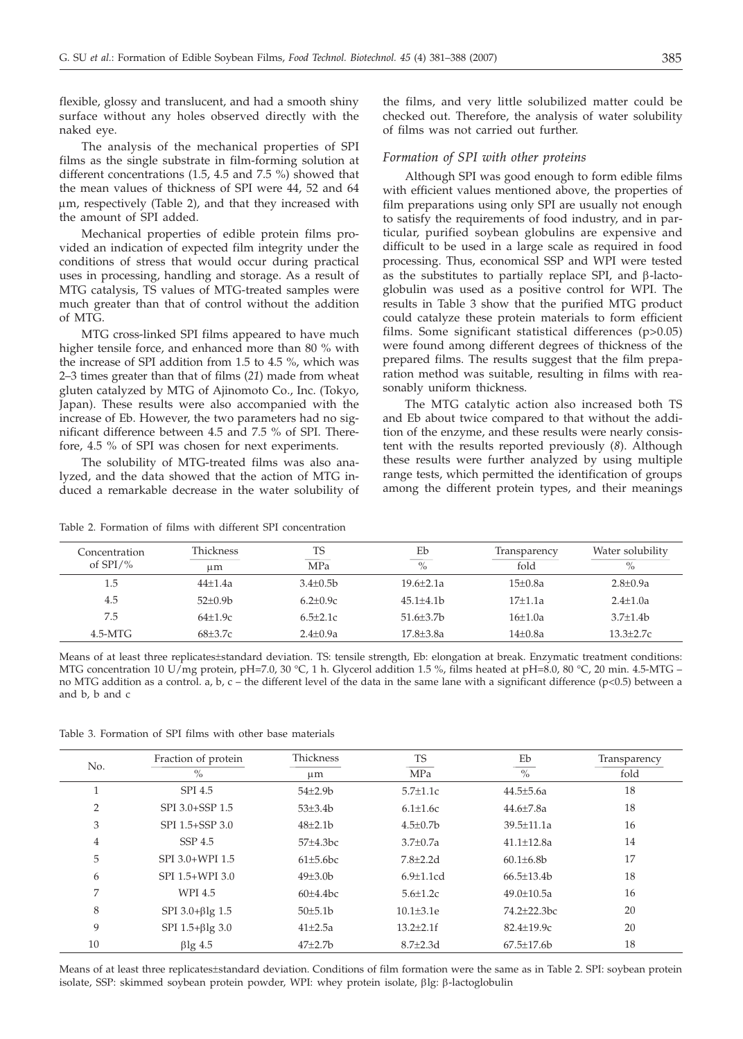flexible, glossy and translucent, and had a smooth shiny surface without any holes observed directly with the naked eye.

The analysis of the mechanical properties of SPI films as the single substrate in film-forming solution at different concentrations (1.5, 4.5 and 7.5 %) showed that the mean values of thickness of SPI were 44, 52 and 64 mm, respectively (Table 2), and that they increased with the amount of SPI added.

Mechanical properties of edible protein films provided an indication of expected film integrity under the conditions of stress that would occur during practical uses in processing, handling and storage. As a result of MTG catalysis, TS values of MTG-treated samples were much greater than that of control without the addition of MTG.

MTG cross-linked SPI films appeared to have much higher tensile force, and enhanced more than 80 % with the increase of SPI addition from 1.5 to 4.5 %, which was 2–3 times greater than that of films (*21*) made from wheat gluten catalyzed by MTG of Ajinomoto Co., Inc. (Tokyo, Japan). These results were also accompanied with the increase of Eb. However, the two parameters had no significant difference between 4.5 and 7.5 % of SPI. Therefore, 4.5 % of SPI was chosen for next experiments.

The solubility of MTG-treated films was also analyzed, and the data showed that the action of MTG induced a remarkable decrease in the water solubility of

Table 2. Formation of films with different SPI concentration

the films, and very little solubilized matter could be checked out. Therefore, the analysis of water solubility of films was not carried out further.

#### *Formation of SPI with other proteins*

Although SPI was good enough to form edible films with efficient values mentioned above, the properties of film preparations using only SPI are usually not enough to satisfy the requirements of food industry, and in particular, purified soybean globulins are expensive and difficult to be used in a large scale as required in food processing. Thus, economical SSP and WPI were tested as the substitutes to partially replace SPI, and  $\beta$ -lactoglobulin was used as a positive control for WPI. The results in Table 3 show that the purified MTG product could catalyze these protein materials to form efficient films. Some significant statistical differences (p>0.05) were found among different degrees of thickness of the prepared films. The results suggest that the film preparation method was suitable, resulting in films with reasonably uniform thickness.

The MTG catalytic action also increased both TS and Eb about twice compared to that without the addition of the enzyme, and these results were nearly consistent with the results reported previously (*8*). Although these results were further analyzed by using multiple range tests, which permitted the identification of groups among the different protein types, and their meanings

| Concentration<br>of $SPI/\%$ | <b>Thickness</b><br>иm | <b>TS</b><br>MPa | Eb<br>$\%$    | Transparency<br>fold | Water solubility<br>$\%$ |
|------------------------------|------------------------|------------------|---------------|----------------------|--------------------------|
| 1.5                          | $44+1.4a$              | $3.4 + 0.5b$     | $19.6 + 2.1a$ | $15+0.8a$            | $2.8 + 0.9a$             |
| 4.5                          | $52+0.9b$              | $6.2 + 0.9c$     | $45.1 + 4.1b$ | $17+1.1a$            | $2.4 + 1.0a$             |
| 7.5                          | $64+1.9c$              | $6.5 + 2.1c$     | $51.6 + 3.7b$ | $16+1.0a$            | $3.7 + 1.4b$             |
| $4.5-MTG$                    | $68 + 3.7c$            | $2.4 + 0.9a$     | $17.8 + 3.8a$ | $14\pm0.8a$          | $13.3 + 2.7c$            |

Means of at least three replicates±standard deviation. TS: tensile strength, Eb: elongation at break. Enzymatic treatment conditions: MTG concentration 10 U/mg protein, pH=7.0, 30 °C, 1 h. Glycerol addition 1.5 %, films heated at pH=8.0, 80 °C, 20 min. 4.5-MTG – no MTG addition as a control. a, b, c – the different level of the data in the same lane with a significant difference (p<0.5) between a and b, b and c

Table 3. Formation of SPI films with other base materials

| No.            | Fraction of protein      | Thickness     | <b>TS</b>        | Eb                | Transparency |
|----------------|--------------------------|---------------|------------------|-------------------|--------------|
|                | $\frac{0}{0}$            | $\mu$ m       | MPa              | $\%$              | fold         |
| Τ.             | SPI 4.5                  | $54\pm2.9b$   | $5.7 \pm 1.1c$   | $44.5 \pm 5.6a$   | 18           |
| $\overline{2}$ | SPI 3.0+SSP 1.5          | $53\pm3.4b$   | $6.1 \pm 1.6c$   | $44.6{\pm}7.8a$   | 18           |
| 3              | SPI 1.5+SSP 3.0          | $48 \pm 2.1$  | $4.5 \pm 0.7$ b  | $39.5 \pm 11.1a$  | 16           |
| $\overline{4}$ | SSP <sub>4.5</sub>       | $57\pm4.3bc$  | $3.7 \pm 0.7a$   | $41.1 \pm 12.8a$  | 14           |
| 5              | SPI 3.0+WPI 1.5          | $61\pm5.6$ bc | $7.8 \pm 2.2$ d  | $60.1 \pm 6.8$ b  | 17           |
| 6              | SPI 1.5+WPI 3.0          | $49\pm3.0b$   | $6.9 \pm 1.1$ cd | $66.5 \pm 13.4 b$ | 18           |
| 7              | WPI 4.5                  | $60\pm4.4$ bc | $5.6 \pm 1.2c$   | $49.0 \pm 10.5a$  | 16           |
| 8              | SPI $3.0+\beta$ lg $1.5$ | 50±5.1b       | $10.1 \pm 3.1$ e | $74.2 + 22.3$ bc  | 20           |
| 9              | SPI $1.5 + \beta$ lg 3.0 | $41 \pm 2.5a$ | $13.2 \pm 2.1$ f | 82.4±19.9c        | 20           |
| 10             | $\beta$ lg 4.5           | $47 + 2.7$    | $8.7 \pm 2.3$ d  | $67.5 \pm 17.6 b$ | 18           |

Means of at least three replicates±standard deviation. Conditions of film formation were the same as in Table 2. SPI: soybean protein isolate, SSP: skimmed soybean protein powder, WPI: whey protein isolate,  $\beta$ lg:  $\beta$ -lactoglobulin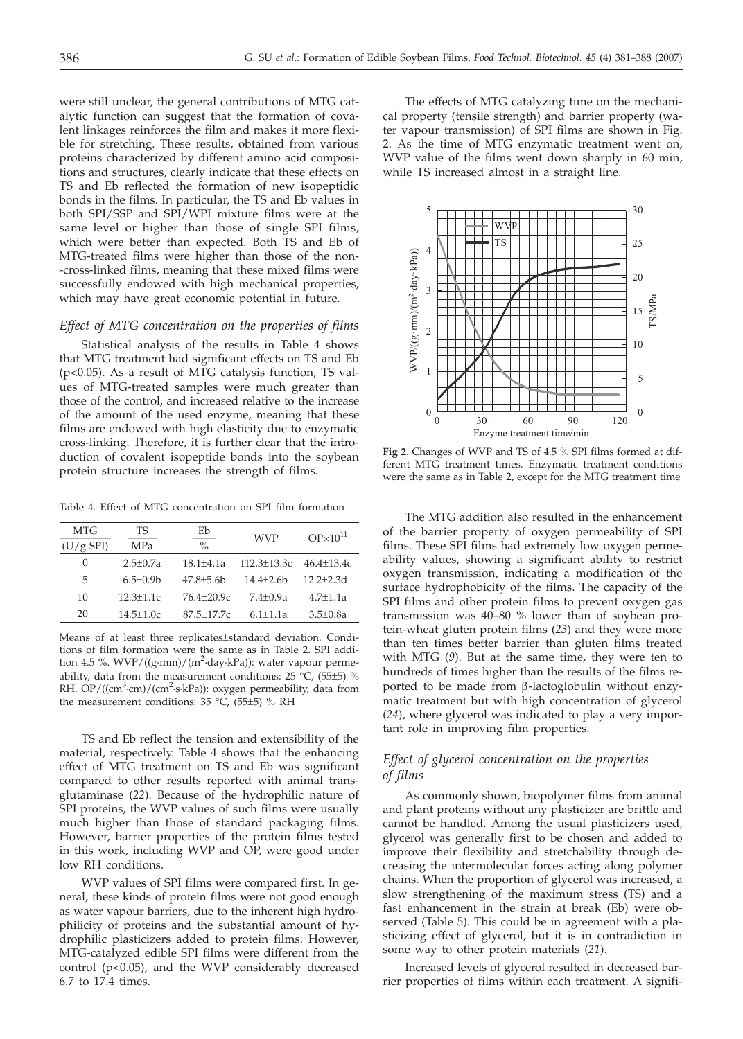were still unclear, the general contributions of MTG catalytic function can suggest that the formation of covalent linkages reinforces the film and makes it more flexible for stretching. These results, obtained from various proteins characterized by different amino acid compositions and structures, clearly indicate that these effects on TS and Eb reflected the formation of new isopeptidic bonds in the films. In particular, the TS and Eb values in both SPI/SSP and SPI/WPI mixture films were at the same level or higher than those of single SPI films, which were better than expected. Both TS and Eb of MTG-treated films were higher than those of the non- -cross-linked films, meaning that these mixed films were successfully endowed with high mechanical properties, which may have great economic potential in future.

# *Effect of MTG concentration on the properties of films*

Statistical analysis of the results in Table 4 shows that MTG treatment had significant effects on TS and Eb (p<0.05). As a result of MTG catalysis function, TS values of MTG-treated samples were much greater than those of the control, and increased relative to the increase of the amount of the used enzyme, meaning that these films are endowed with high elasticity due to enzymatic cross-linking. Therefore, it is further clear that the introduction of covalent isopeptide bonds into the soybean protein structure increases the strength of films.

Table 4. Effect of MTG concentration on SPI film formation

| MTG         | TS            | Eb             | <b>WVP</b>                         | $OP \times 10^{11}$ |  |
|-------------|---------------|----------------|------------------------------------|---------------------|--|
| $(U/g$ SPI) | MPa           | $\frac{0}{0}$  |                                    |                     |  |
| 0           | $2.5 + 0.7a$  | $18.1 + 4.1a$  | $112.3 \pm 13.3c$ $46.4 \pm 13.4c$ |                     |  |
| 5           | $6.5 + 0.9$ b | $47.8 + 5.6$   | $14.4 + 2.6b$                      | $12.2 + 2.3d$       |  |
| 10          | $12.3 + 1.1c$ | $76.4 + 20.9c$ | $7.4 + 0.9a$                       | $4.7 + 1.1a$        |  |
| 20          | $14.5 + 1.0c$ | $87.5 + 17.7c$ | $6.1 + 1.1a$                       | $3.5 + 0.8a$        |  |

Means of at least three replicates±standard deviation. Conditions of film formation were the same as in Table 2. SPI addition 4.5 %. WVP/((g·mm)/(m<sup>2</sup>·day·kPa)): water vapour permeability, data from the measurement conditions:  $25\,^{\circ}$ C, (55±5) % RH. OP/((cm<sup>3</sup>·cm)/(cm<sup>2</sup>·s·kPa)): oxygen permeability, data from the measurement conditions:  $35 °C$ ,  $(55±5) % RH$ 

TS and Eb reflect the tension and extensibility of the material, respectively. Table 4 shows that the enhancing effect of MTG treatment on TS and Eb was significant compared to other results reported with animal transglutaminase (*22*). Because of the hydrophilic nature of SPI proteins, the WVP values of such films were usually much higher than those of standard packaging films. However, barrier properties of the protein films tested in this work, including WVP and OP, were good under low RH conditions.

WVP values of SPI films were compared first. In general, these kinds of protein films were not good enough as water vapour barriers, due to the inherent high hydrophilicity of proteins and the substantial amount of hydrophilic plasticizers added to protein films. However, MTG-catalyzed edible SPI films were different from the control (p<0.05), and the WVP considerably decreased 6.7 to 17.4 times.

The effects of MTG catalyzing time on the mechanical property (tensile strength) and barrier property (water vapour transmission) of SPI films are shown in Fig. 2. As the time of MTG enzymatic treatment went on, WVP value of the films went down sharply in 60 min, while TS increased almost in a straight line.



**Fig 2.** Changes of WVP and TS of 4.5 % SPI films formed at different MTG treatment times. Enzymatic treatment conditions were the same as in Table 2, except for the MTG treatment time

The MTG addition also resulted in the enhancement of the barrier property of oxygen permeability of SPI films. These SPI films had extremely low oxygen permeability values, showing a significant ability to restrict oxygen transmission, indicating a modification of the surface hydrophobicity of the films. The capacity of the SPI films and other protein films to prevent oxygen gas transmission was 40–80 % lower than of soybean protein-wheat gluten protein films (*23*) and they were more than ten times better barrier than gluten films treated with MTG (*9*). But at the same time, they were ten to hundreds of times higher than the results of the films reported to be made from  $\beta$ -lactoglobulin without enzymatic treatment but with high concentration of glycerol (*24*), where glycerol was indicated to play a very important role in improving film properties.

# *Effect of glycerol concentration on the properties of films*

As commonly shown, biopolymer films from animal and plant proteins without any plasticizer are brittle and cannot be handled. Among the usual plasticizers used, glycerol was generally first to be chosen and added to improve their flexibility and stretchability through decreasing the intermolecular forces acting along polymer chains. When the proportion of glycerol was increased, a slow strengthening of the maximum stress (TS) and a fast enhancement in the strain at break (Eb) were observed (Table 5). This could be in agreement with a plasticizing effect of glycerol, but it is in contradiction in some way to other protein materials (*21*).

Increased levels of glycerol resulted in decreased barrier properties of films within each treatment. A signifi-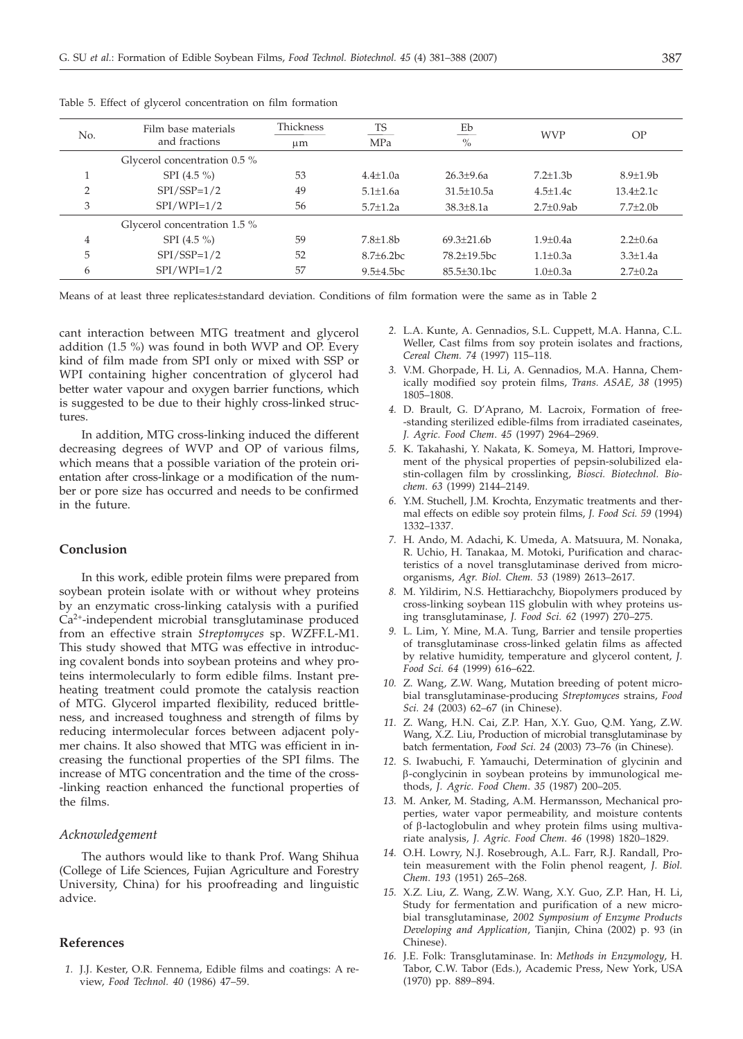| No. | Film base materials<br>and fractions | Thickness<br>$\mu$ m | TS<br>MPa        | Eb<br>$\%$       | <b>WVP</b>       | OP              |
|-----|--------------------------------------|----------------------|------------------|------------------|------------------|-----------------|
|     | Glycerol concentration 0.5 %         |                      |                  |                  |                  |                 |
|     | SPI $(4.5\% )$                       | 53                   | $4.4 + 1.0a$     | $26.3 + 9.6a$    | $7.2 + 1.3b$     | $8.9 + 1.9b$    |
|     | $SPI/SSP=1/2$                        | 49                   | $5.1 \pm 1.6a$   | $31.5 + 10.5a$   | $4.5 + 1.4c$     | $13.4 + 2.1c$   |
| 3   | $SPI/WPI=1/2$                        | 56                   | $5.7 + 1.2a$     | $38.3 + 8.1a$    | $2.7 \pm 0.9$ ab | $7.7 \pm 2.0$ b |
|     | Glycerol concentration 1.5 %         |                      |                  |                  |                  |                 |
| 4   | SPI $(4.5\% )$                       | 59                   | $7.8 + 1.8$ b    | $69.3 + 21.6b$   | $1.9 + 0.4a$     | $2.2 + 0.6a$    |
| 5   | $SPI/SSP=1/2$                        | 52                   | $8.7 + 6.2$ bc   | $78.2 + 19.5$ bc | $1.1 + 0.3a$     | $3.3 + 1.4a$    |
| 6   | $SPI/WPI=1/2$                        | 57                   | $9.5 \pm 4.5$ bc | $85.5 + 30.1$ bc | $1.0 + 0.3a$     | $2.7+0.2a$      |

Table 5. Effect of glycerol concentration on film formation

Means of at least three replicates±standard deviation. Conditions of film formation were the same as in Table 2

cant interaction between MTG treatment and glycerol addition (1.5 %) was found in both WVP and OP. Every kind of film made from SPI only or mixed with SSP or WPI containing higher concentration of glycerol had better water vapour and oxygen barrier functions, which is suggested to be due to their highly cross-linked structures.

In addition, MTG cross-linking induced the different decreasing degrees of WVP and OP of various films, which means that a possible variation of the protein orientation after cross-linkage or a modification of the number or pore size has occurred and needs to be confirmed in the future.

#### **Conclusion**

In this work, edible protein films were prepared from soybean protein isolate with or without whey proteins by an enzymatic cross-linking catalysis with a purified Ca2+-independent microbial transglutaminase produced from an effective strain *Streptomyces* sp. WZFF.L-M1. This study showed that MTG was effective in introducing covalent bonds into soybean proteins and whey proteins intermolecularly to form edible films. Instant preheating treatment could promote the catalysis reaction of MTG. Glycerol imparted flexibility, reduced brittleness, and increased toughness and strength of films by reducing intermolecular forces between adjacent polymer chains. It also showed that MTG was efficient in increasing the functional properties of the SPI films. The increase of MTG concentration and the time of the cross- -linking reaction enhanced the functional properties of the films.

## *Acknowledgement*

The authors would like to thank Prof. Wang Shihua (College of Life Sciences, Fujian Agriculture and Forestry University, China) for his proofreading and linguistic advice.

## **References**

*1.* J.J. Kester, O.R. Fennema, Edible films and coatings: A review, *Food Technol. 40* (1986) 47–59.

- *2.* L.A. Kunte, A. Gennadios, S.L. Cuppett, M.A. Hanna, C.L. Weller, Cast films from soy protein isolates and fractions, *Cereal Chem. 74* (1997) 115–118.
- *3.* V.M. Ghorpade, H. Li, A. Gennadios, M.A. Hanna, Chemically modified soy protein films, *Trans. ASAE, 38* (1995) 1805–1808.
- *4.* D. Brault, G. D'Aprano, M. Lacroix, Formation of free- -standing sterilized edible-films from irradiated caseinates, *J. Agric. Food Chem*. *45* (1997) 2964–2969.
- *5.* K. Takahashi, Y. Nakata, K. Someya, M. Hattori, Improvement of the physical properties of pepsin-solubilized elastin-collagen film by crosslinking, *Biosci. Biotechnol. Biochem*. *63* (1999) 2144–2149.
- *6.* Y.M. Stuchell, J.M. Krochta, Enzymatic treatments and thermal effects on edible soy protein films, *J. Food Sci. 59* (1994) 1332–1337.
- *7.* H. Ando, M. Adachi, K. Umeda, A. Matsuura, M. Nonaka, R. Uchio, H. Tanakaa, M. Motoki, Purification and characteristics of a novel transglutaminase derived from microorganisms, *Agr. Biol. Chem. 53* (1989) 2613–2617.
- *8.* M. Yildirim, N.S. Hettiarachchy, Biopolymers produced by cross-linking soybean 11S globulin with whey proteins using transglutaminase, *J. Food Sci. 62* (1997) 270–275.
- *9.* L. Lim, Y. Mine, M.A. Tung, Barrier and tensile properties of transglutaminase cross-linked gelatin films as affected by relative humidity, temperature and glycerol content, *J. Food Sci. 64* (1999) 616–622.
- *10.* Z. Wang, Z.W. Wang, Mutation breeding of potent microbial transglutaminase-producing *Streptomyces* strains, *Food Sci. 24* (2003) 62–67 (in Chinese).
- *11.* Z. Wang, H.N. Cai, Z.P. Han, X.Y. Guo, Q.M. Yang, Z.W. Wang, X.Z. Liu, Production of microbial transglutaminase by batch fermentation, *Food Sci*. *24* (2003) 73–76 (in Chinese).
- *12.* S. Iwabuchi, F. Yamauchi, Determination of glycinin and b-conglycinin in soybean proteins by immunological methods, *J. Agric. Food Chem*. *35* (1987) 200–205.
- *13.* M. Anker, M. Stading, A.M. Hermansson, Mechanical properties, water vapor permeability, and moisture contents of  $\beta$ -lactoglobulin and whey protein films using multivariate analysis, *J. Agric. Food Chem*. *46* (1998) 1820–1829.
- *14.* O.H. Lowry, N.J. Rosebrough, A.L. Farr, R.J. Randall, Protein measurement with the Folin phenol reagent, *J. Biol. Chem*. *193* (1951) 265–268.
- *15.* X.Z. Liu, Z. Wang, Z.W. Wang, X.Y. Guo, Z.P. Han, H. Li, Study for fermentation and purification of a new microbial transglutaminase, *2002 Symposium of Enzyme Products Developing and Application*, Tianjin, China (2002) p. 93 (in Chinese).
- *16.* J.E. Folk: Transglutaminase. In: *Methods in Enzymology*, H. Tabor, C.W. Tabor (Eds.), Academic Press, New York, USA (1970) pp. 889–894.